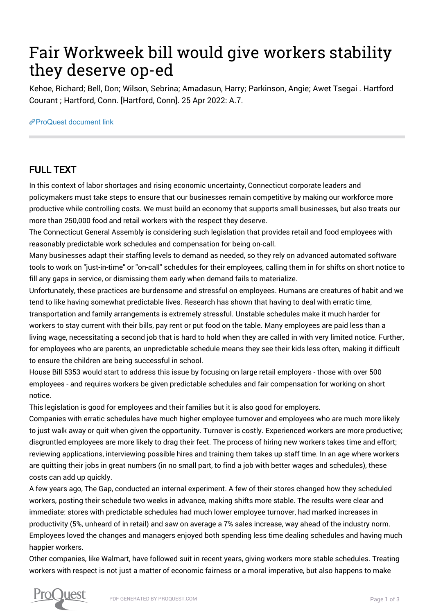## Fair Workweek bill would give workers stability they deserve op-ed

Kehoe, Richard; Bell, Don; Wilson, Sebrina; Amadasun, Harry; Parkinson, Angie; Awet Tsegai . Hartford Courant ; Hartford, Conn. [Hartford, Conn]. 25 Apr 2022: A.7.

[ProQuest document link](https://www.proquest.com/newspapers/fair-workweek-bill-would-give-workers-stability/docview/2653995603/se-2?accountid=44910)

## FULL TEXT

In this context of labor shortages and rising economic uncertainty, Connecticut corporate leaders and policymakers must take steps to ensure that our businesses remain competitive by making our workforce more productive while controlling costs. We must build an economy that supports small businesses, but also treats our more than 250,000 food and retail workers with the respect they deserve.

The Connecticut General Assembly is considering such legislation that provides retail and food employees with reasonably predictable work schedules and compensation for being on-call.

Many businesses adapt their staffing levels to demand as needed, so they rely on advanced automated software tools to work on "just-in-time" or "on-call" schedules for their employees, calling them in for shifts on short notice to fill any gaps in service, or dismissing them early when demand fails to materialize.

Unfortunately, these practices are burdensome and stressful on employees. Humans are creatures of habit and we tend to like having somewhat predictable lives. Research has shown that having to deal with erratic time, transportation and family arrangements is extremely stressful. Unstable schedules make it much harder for workers to stay current with their bills, pay rent or put food on the table. Many employees are paid less than a living wage, necessitating a second job that is hard to hold when they are called in with very limited notice. Further, for employees who are parents, an unpredictable schedule means they see their kids less often, making it difficult to ensure the children are being successful in school.

House Bill 5353 would start to address this issue by focusing on large retail employers - those with over 500 employees - and requires workers be given predictable schedules and fair compensation for working on short notice.

This legislation is good for employees and their families but it is also good for employers.

Companies with erratic schedules have much higher employee turnover and employees who are much more likely to just walk away or quit when given the opportunity. Turnover is costly. Experienced workers are more productive; disgruntled employees are more likely to drag their feet. The process of hiring new workers takes time and effort; reviewing applications, interviewing possible hires and training them takes up staff time. In an age where workers are quitting their jobs in great numbers (in no small part, to find a job with better wages and schedules), these costs can add up quickly.

A few years ago, The Gap, conducted an internal experiment. A few of their stores changed how they scheduled workers, posting their schedule two weeks in advance, making shifts more stable. The results were clear and immediate: stores with predictable schedules had much lower employee turnover, had marked increases in productivity (5%, unheard of in retail) and saw on average a 7% sales increase, way ahead of the industry norm. Employees loved the changes and managers enjoyed both spending less time dealing schedules and having much happier workers.

Other companies, like Walmart, have followed suit in recent years, giving workers more stable schedules. Treating workers with respect is not just a matter of economic fairness or a moral imperative, but also happens to make

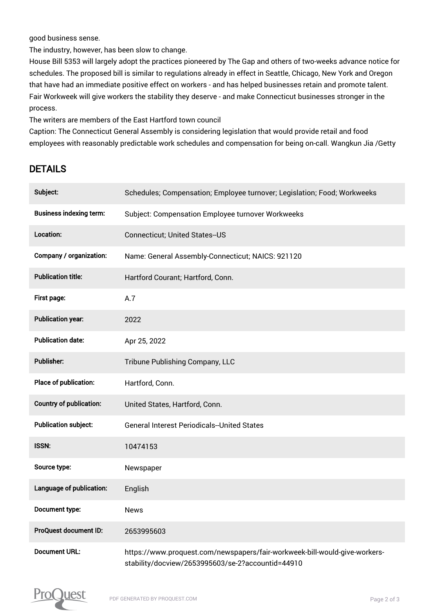good business sense.

The industry, however, has been slow to change.

House Bill 5353 will largely adopt the practices pioneered by The Gap and others of two-weeks advance notice for schedules. The proposed bill is similar to regulations already in effect in Seattle, Chicago, New York and Oregon that have had an immediate positive effect on workers - and has helped businesses retain and promote talent. Fair Workweek will give workers the stability they deserve - and make Connecticut businesses stronger in the process.

The writers are members of the East Hartford town council

Caption: The Connecticut General Assembly is considering legislation that would provide retail and food employees with reasonably predictable work schedules and compensation for being on-call. Wangkun Jia /Getty

## DETAILS

| Subject:                       | Schedules; Compensation; Employee turnover; Legislation; Food; Workweeks                                                        |
|--------------------------------|---------------------------------------------------------------------------------------------------------------------------------|
| <b>Business indexing term:</b> | Subject: Compensation Employee turnover Workweeks                                                                               |
| Location:                      | <b>Connecticut; United States--US</b>                                                                                           |
| Company / organization:        | Name: General Assembly-Connecticut; NAICS: 921120                                                                               |
| <b>Publication title:</b>      | Hartford Courant; Hartford, Conn.                                                                                               |
| First page:                    | A.7                                                                                                                             |
| <b>Publication year:</b>       | 2022                                                                                                                            |
| <b>Publication date:</b>       | Apr 25, 2022                                                                                                                    |
| <b>Publisher:</b>              | Tribune Publishing Company, LLC                                                                                                 |
| Place of publication:          | Hartford, Conn.                                                                                                                 |
| <b>Country of publication:</b> | United States, Hartford, Conn.                                                                                                  |
| <b>Publication subject:</b>    | <b>General Interest Periodicals--United States</b>                                                                              |
| <b>ISSN:</b>                   | 10474153                                                                                                                        |
| Source type:                   | Newspaper                                                                                                                       |
| Language of publication:       | English                                                                                                                         |
| Document type:                 | <b>News</b>                                                                                                                     |
| ProQuest document ID:          | 2653995603                                                                                                                      |
| <b>Document URL:</b>           | https://www.proquest.com/newspapers/fair-workweek-bill-would-give-workers-<br>stability/docview/2653995603/se-2?accountid=44910 |